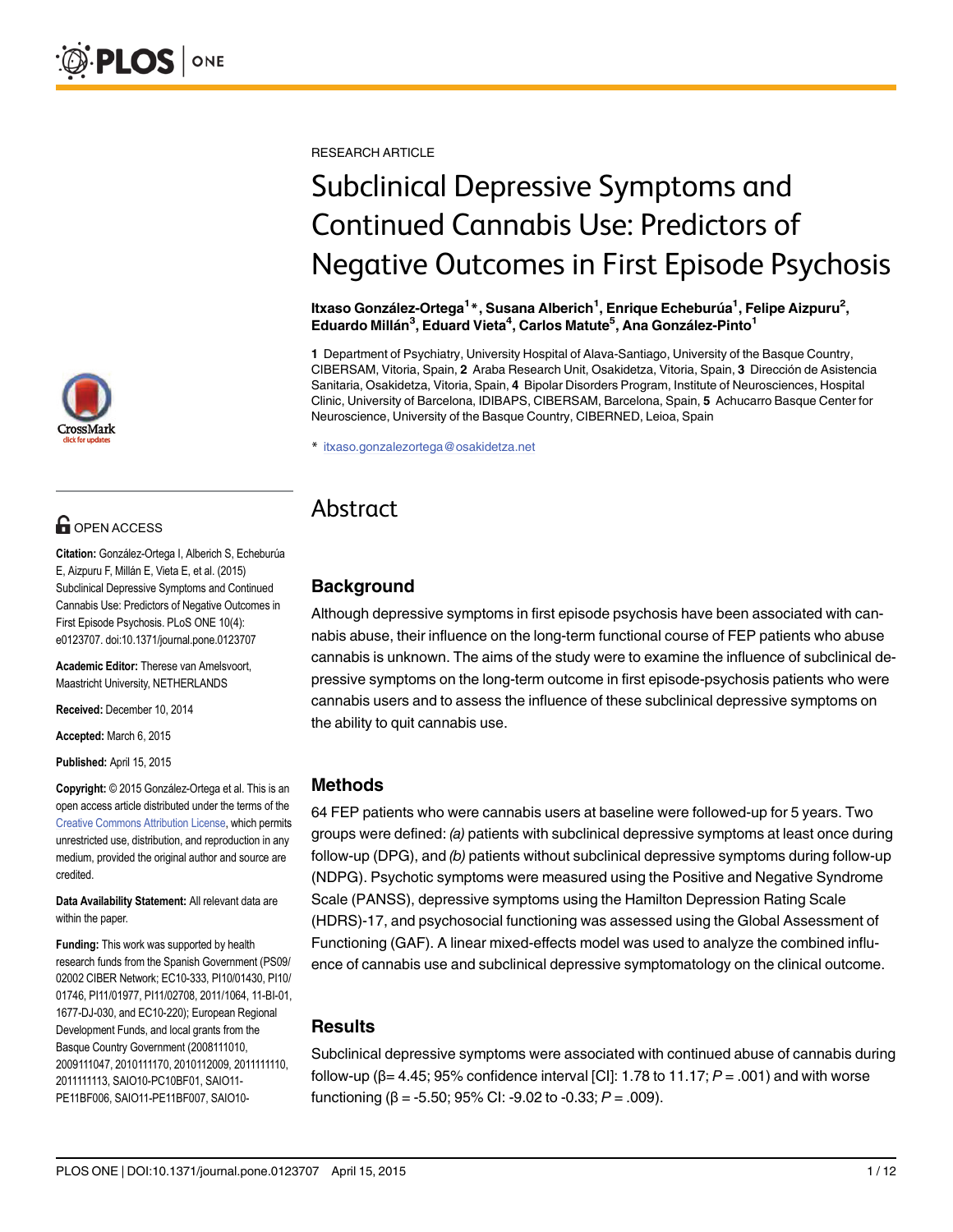

# **G** OPEN ACCESS

Citation: González-Ortega I, Alberich S, Echeburúa E, Aizpuru F, Millán E, Vieta E, et al. (2015) Subclinical Depressive Symptoms and Continued Cannabis Use: Predictors of Negative Outcomes in First Episode Psychosis. PLoS ONE 10(4): e0123707. doi:10.1371/journal.pone.0123707

Academic Editor: Therese van Amelsvoort, Maastricht University, NETHERLANDS

Received: December 10, 2014

Accepted: March 6, 2015

Published: April 15, 2015

Copyright: © 2015 González-Ortega et al. This is an open access article distributed under the terms of the [Creative Commons Attribution License,](http://creativecommons.org/licenses/by/4.0/) which permits unrestricted use, distribution, and reproduction in any medium, provided the original author and source are credited.

Data Availability Statement: All relevant data are within the paper.

Funding: This work was supported by health research funds from the Spanish Government (PS09/ 02002 CIBER Network; EC10-333, PI10/01430, PI10/ 01746, PI11/01977, PI11/02708, 2011/1064, 11-BI-01, 1677-DJ-030, and EC10-220); European Regional Development Funds, and local grants from the Basque Country Government (2008111010, 2009111047, 2010111170, 2010112009, 2011111110, 2011111113, SAIO10-PC10BF01, SAIO11- PE11BF006, SAIO11-PE11BF007, SAIO10RESEARCH ARTICLE

# Subclinical Depressive Symptoms and Continued Cannabis Use: Predictors of Negative Outcomes in First Episode Psychosis

ltxaso González-Ortega<sup>1</sup>\*, Susana Alberich<sup>1</sup>, Enrique Echeburúa<sup>1</sup>, Felipe Aizpuru<sup>2</sup>, Eduardo Millán<sup>3</sup>, Eduard Vieta<sup>4</sup>, Carlos Matute<sup>5</sup>, Ana González-Pinto<sup>1</sup>

1 Department of Psychiatry, University Hospital of Alava-Santiago, University of the Basque Country, CIBERSAM, Vitoria, Spain, 2 Araba Research Unit, Osakidetza, Vitoria, Spain, 3 Dirección de Asistencia Sanitaria, Osakidetza, Vitoria, Spain, 4 Bipolar Disorders Program, Institute of Neurosciences, Hospital Clinic, University of Barcelona, IDIBAPS, CIBERSAM, Barcelona, Spain, 5 Achucarro Basque Center for Neuroscience, University of the Basque Country, CIBERNED, Leioa, Spain

\* itxaso.gonzalezortega@osakidetza.net

## Abstract

### Background

Although depressive symptoms in first episode psychosis have been associated with cannabis abuse, their influence on the long-term functional course of FEP patients who abuse cannabis is unknown. The aims of the study were to examine the influence of subclinical depressive symptoms on the long-term outcome in first episode-psychosis patients who were cannabis users and to assess the influence of these subclinical depressive symptoms on the ability to quit cannabis use.

#### Methods

64 FEP patients who were cannabis users at baseline were followed-up for 5 years. Two groups were defined: (a) patients with subclinical depressive symptoms at least once during follow-up (DPG), and (b) patients without subclinical depressive symptoms during follow-up (NDPG). Psychotic symptoms were measured using the Positive and Negative Syndrome Scale (PANSS), depressive symptoms using the Hamilton Depression Rating Scale (HDRS)-17, and psychosocial functioning was assessed using the Global Assessment of Functioning (GAF). A linear mixed-effects model was used to analyze the combined influence of cannabis use and subclinical depressive symptomatology on the clinical outcome.

#### **Results**

Subclinical depressive symptoms were associated with continued abuse of cannabis during follow-up ( $\beta$ = 4.45; 95% confidence interval [CI]: 1.78 to 11.17; P = .001) and with worse functioning ( $\beta$  = -5.50; 95% CI: -9.02 to -0.33; P = .009).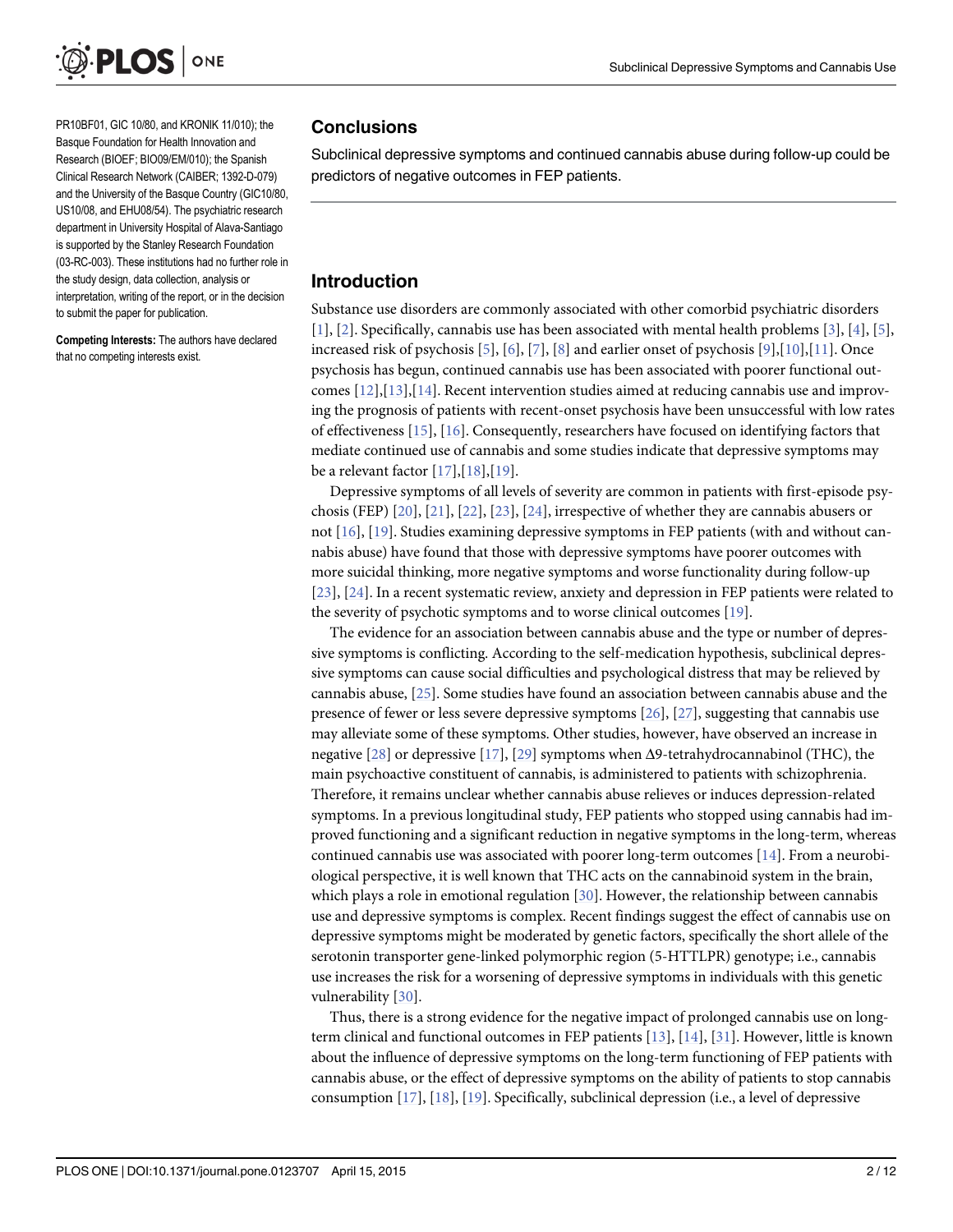<span id="page-1-0"></span>

PR10BF01, GIC 10/80, and KRONIK 11/010); the Basque Foundation for Health Innovation and Research (BIOEF; BIO09/EM/010); the Spanish Clinical Research Network (CAIBER; 1392-D-079) and the University of the Basque Country (GIC10/80, US10/08, and EHU08/54). The psychiatric research department in University Hospital of Alava-Santiago is supported by the Stanley Research Foundation (03-RC-003). These institutions had no further role in the study design, data collection, analysis or interpretation, writing of the report, or in the decision to submit the paper for publication.

Competing Interests: The authors have declared that no competing interests exist.

#### **Conclusions**

Subclinical depressive symptoms and continued cannabis abuse during follow-up could be predictors of negative outcomes in FEP patients.

#### Introduction

Substance use disorders are commonly associated with other comorbid psychiatric disorders [\[1](#page-8-0)], [[2](#page-8-0)]. Specifically, cannabis use has been associated with mental health problems [\[3\]](#page-8-0), [\[4\]](#page-8-0), [\[5](#page-8-0)], increased risk of psychosis  $[5]$  $[5]$ ,  $[6]$  $[6]$ ,  $[7]$  $[7]$ ,  $[8]$  $[8]$  and earlier onset of psychosis  $[9]$  $[9]$  $[9]$ , $[10]$ , $[11]$ . Once psychosis has begun, continued cannabis use has been associated with poorer functional outcomes  $[12]$  $[12]$  $[12]$ , $[13]$  $[13]$ , $[14]$ . Recent intervention studies aimed at reducing cannabis use and improving the prognosis of patients with recent-onset psychosis have been unsuccessful with low rates of effectiveness [\[15\]](#page-9-0), [\[16\]](#page-9-0). Consequently, researchers have focused on identifying factors that mediate continued use of cannabis and some studies indicate that depressive symptoms may be a relevant factor  $[17], [18], [19]$  $[17], [18], [19]$  $[17], [18], [19]$  $[17], [18], [19]$  $[17], [18], [19]$  $[17], [18], [19]$ .

Depressive symptoms of all levels of severity are common in patients with first-episode psychosis (FEP) [[20](#page-9-0)], [\[21](#page-9-0)], [\[22\]](#page-9-0), [\[23\]](#page-9-0), [\[24\]](#page-9-0), irrespective of whether they are cannabis abusers or not [\[16\]](#page-9-0), [[19\]](#page-9-0). Studies examining depressive symptoms in FEP patients (with and without cannabis abuse) have found that those with depressive symptoms have poorer outcomes with more suicidal thinking, more negative symptoms and worse functionality during follow-up [\[23](#page-9-0)], [\[24\]](#page-9-0). In a recent systematic review, anxiety and depression in FEP patients were related to the severity of psychotic symptoms and to worse clinical outcomes [[19](#page-9-0)].

The evidence for an association between cannabis abuse and the type or number of depressive symptoms is conflicting. According to the self-medication hypothesis, subclinical depressive symptoms can cause social difficulties and psychological distress that may be relieved by cannabis abuse, [\[25](#page-9-0)]. Some studies have found an association between cannabis abuse and the presence of fewer or less severe depressive symptoms [[26](#page-10-0)], [[27](#page-10-0)], suggesting that cannabis use may alleviate some of these symptoms. Other studies, however, have observed an increase in negative [[28](#page-10-0)] or depressive [\[17](#page-9-0)], [\[29\]](#page-10-0) symptoms when  $\Delta$ 9-tetrahydrocannabinol (THC), the main psychoactive constituent of cannabis, is administered to patients with schizophrenia. Therefore, it remains unclear whether cannabis abuse relieves or induces depression-related symptoms. In a previous longitudinal study, FEP patients who stopped using cannabis had improved functioning and a significant reduction in negative symptoms in the long-term, whereas continued cannabis use was associated with poorer long-term outcomes [\[14](#page-9-0)]. From a neurobiological perspective, it is well known that THC acts on the cannabinoid system in the brain, which plays a role in emotional regulation [[30](#page-10-0)]. However, the relationship between cannabis use and depressive symptoms is complex. Recent findings suggest the effect of cannabis use on depressive symptoms might be moderated by genetic factors, specifically the short allele of the serotonin transporter gene-linked polymorphic region (5-HTTLPR) genotype; i.e., cannabis use increases the risk for a worsening of depressive symptoms in individuals with this genetic vulnerability [[30](#page-10-0)].

Thus, there is a strong evidence for the negative impact of prolonged cannabis use on longterm clinical and functional outcomes in FEP patients  $[13]$  $[13]$ ,  $[14]$ ,  $[31]$ . However, little is known about the influence of depressive symptoms on the long-term functioning of FEP patients with cannabis abuse, or the effect of depressive symptoms on the ability of patients to stop cannabis consumption  $[17]$  $[17]$  $[17]$ ,  $[18]$ ,  $[19]$ . Specifically, subclinical depression (i.e., a level of depressive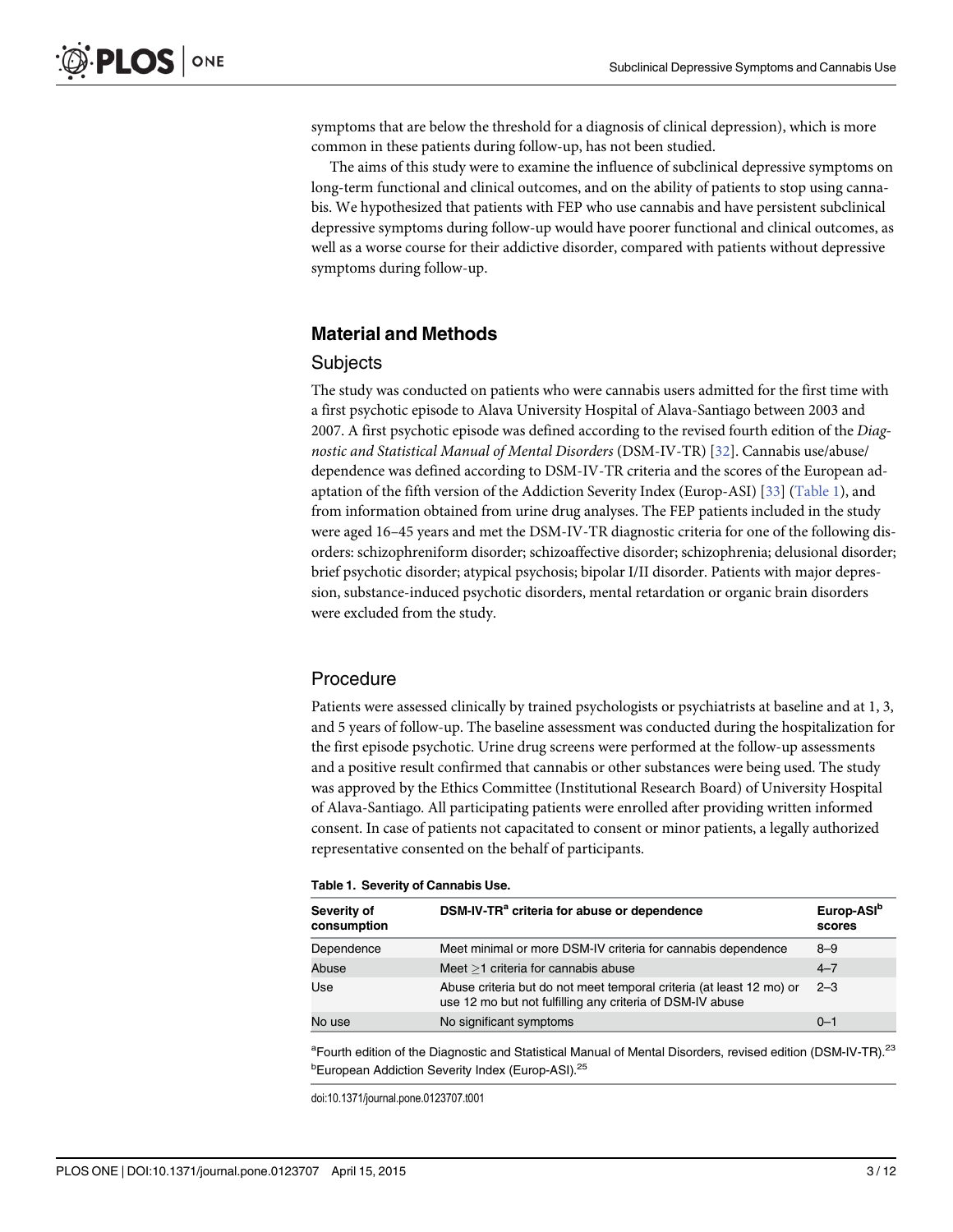<span id="page-2-0"></span>symptoms that are below the threshold for a diagnosis of clinical depression), which is more common in these patients during follow-up, has not been studied.

The aims of this study were to examine the influence of subclinical depressive symptoms on long-term functional and clinical outcomes, and on the ability of patients to stop using cannabis. We hypothesized that patients with FEP who use cannabis and have persistent subclinical depressive symptoms during follow-up would have poorer functional and clinical outcomes, as well as a worse course for their addictive disorder, compared with patients without depressive symptoms during follow-up.

#### Material and Methods

#### **Subjects**

The study was conducted on patients who were cannabis users admitted for the first time with a first psychotic episode to Alava University Hospital of Alava-Santiago between 2003 and 2007. A first psychotic episode was defined according to the revised fourth edition of the Diagnostic and Statistical Manual of Mental Disorders (DSM-IV-TR) [[32](#page-10-0)]. Cannabis use/abuse/ dependence was defined according to DSM-IV-TR criteria and the scores of the European adaptation of the fifth version of the Addiction Severity Index (Europ-ASI) [[33\]](#page-10-0) (Table 1), and from information obtained from urine drug analyses. The FEP patients included in the study were aged 16–45 years and met the DSM-IV-TR diagnostic criteria for one of the following disorders: schizophreniform disorder; schizoaffective disorder; schizophrenia; delusional disorder; brief psychotic disorder; atypical psychosis; bipolar I/II disorder. Patients with major depression, substance-induced psychotic disorders, mental retardation or organic brain disorders were excluded from the study.

#### **Procedure**

Patients were assessed clinically by trained psychologists or psychiatrists at baseline and at 1, 3, and 5 years of follow-up. The baseline assessment was conducted during the hospitalization for the first episode psychotic. Urine drug screens were performed at the follow-up assessments and a positive result confirmed that cannabis or other substances were being used. The study was approved by the Ethics Committee (Institutional Research Board) of University Hospital of Alava-Santiago. All participating patients were enrolled after providing written informed consent. In case of patients not capacitated to consent or minor patients, a legally authorized representative consented on the behalf of participants.

#### Table 1. Severity of Cannabis Use.

| Severity of<br>consumption | DSM-IV-TR <sup>a</sup> criteria for abuse or dependence                                                                           | Europ-ASI <sup>b</sup><br>scores |
|----------------------------|-----------------------------------------------------------------------------------------------------------------------------------|----------------------------------|
| Dependence                 | Meet minimal or more DSM-IV criteria for cannabis dependence                                                                      | $8 - 9$                          |
| Abuse                      | Meet $>1$ criteria for cannabis abuse                                                                                             | $4 - 7$                          |
| Use                        | Abuse criteria but do not meet temporal criteria (at least 12 mo) or<br>use 12 mo but not fulfilling any criteria of DSM-IV abuse | $2 - 3$                          |
| No use                     | No significant symptoms                                                                                                           | $0 - 1$                          |

<sup>a</sup> Fourth edition of the Diagnostic and Statistical Manual of Mental Disorders, revised edition (DSM-IV-TR).<sup>23</sup> <sup>b</sup>European Addiction Severity Index (Europ-ASI).<sup>25</sup>

doi:10.1371/journal.pone.0123707.t001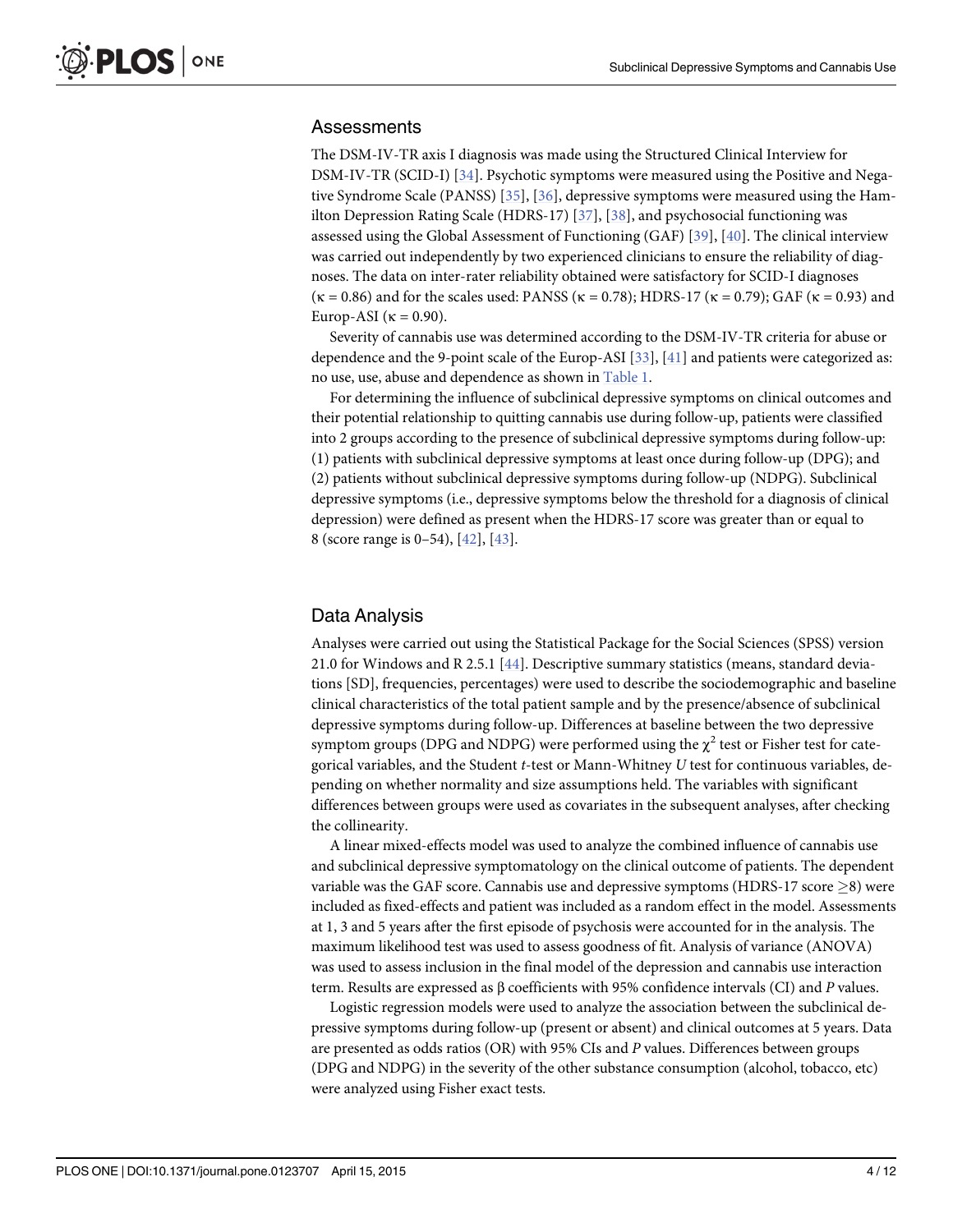#### <span id="page-3-0"></span>**Assessments**

The DSM-IV-TR axis I diagnosis was made using the Structured Clinical Interview for DSM-IV-TR (SCID-I) [[34\]](#page-10-0). Psychotic symptoms were measured using the Positive and Negative Syndrome Scale (PANSS) [[35](#page-10-0)], [[36\]](#page-10-0), depressive symptoms were measured using the Hamilton Depression Rating Scale (HDRS-17) [[37](#page-10-0)], [[38](#page-10-0)], and psychosocial functioning was assessed using the Global Assessment of Functioning (GAF) [[39](#page-10-0)], [[40](#page-10-0)]. The clinical interview was carried out independently by two experienced clinicians to ensure the reliability of diagnoses. The data on inter-rater reliability obtained were satisfactory for SCID-I diagnoses  $(\kappa = 0.86)$  and for the scales used: PANSS  $(\kappa = 0.78)$ ; HDRS-17  $(\kappa = 0.79)$ ; GAF  $(\kappa = 0.93)$  and Europ-ASI ( $\kappa = 0.90$ ).

Severity of cannabis use was determined according to the DSM-IV-TR criteria for abuse or dependence and the 9-point scale of the Europ-ASI [[33\]](#page-10-0), [[41](#page-10-0)] and patients were categorized as: no use, use, abuse and dependence as shown in [Table 1.](#page-2-0)

For determining the influence of subclinical depressive symptoms on clinical outcomes and their potential relationship to quitting cannabis use during follow-up, patients were classified into 2 groups according to the presence of subclinical depressive symptoms during follow-up: (1) patients with subclinical depressive symptoms at least once during follow-up (DPG); and (2) patients without subclinical depressive symptoms during follow-up (NDPG). Subclinical depressive symptoms (i.e., depressive symptoms below the threshold for a diagnosis of clinical depression) were defined as present when the HDRS-17 score was greater than or equal to 8 (score range is 0–54), [[42](#page-10-0)], [[43](#page-10-0)].

#### Data Analysis

Analyses were carried out using the Statistical Package for the Social Sciences (SPSS) version 21.0 for Windows and R 2.5.1 [\[44\]](#page-10-0). Descriptive summary statistics (means, standard deviations [SD], frequencies, percentages) were used to describe the sociodemographic and baseline clinical characteristics of the total patient sample and by the presence/absence of subclinical depressive symptoms during follow-up. Differences at baseline between the two depressive symptom groups (DPG and NDPG) were performed using the  $\chi^2$  test or Fisher test for categorical variables, and the Student t-test or Mann-Whitney U test for continuous variables, depending on whether normality and size assumptions held. The variables with significant differences between groups were used as covariates in the subsequent analyses, after checking the collinearity.

A linear mixed-effects model was used to analyze the combined influence of cannabis use and subclinical depressive symptomatology on the clinical outcome of patients. The dependent variable was the GAF score. Cannabis use and depressive symptoms (HDRS-17 score  $>8$ ) were included as fixed-effects and patient was included as a random effect in the model. Assessments at 1, 3 and 5 years after the first episode of psychosis were accounted for in the analysis. The maximum likelihood test was used to assess goodness of fit. Analysis of variance (ANOVA) was used to assess inclusion in the final model of the depression and cannabis use interaction term. Results are expressed as β coefficients with 95% confidence intervals (CI) and P values.

Logistic regression models were used to analyze the association between the subclinical depressive symptoms during follow-up (present or absent) and clinical outcomes at 5 years. Data are presented as odds ratios (OR) with 95% CIs and P values. Differences between groups (DPG and NDPG) in the severity of the other substance consumption (alcohol, tobacco, etc) were analyzed using Fisher exact tests.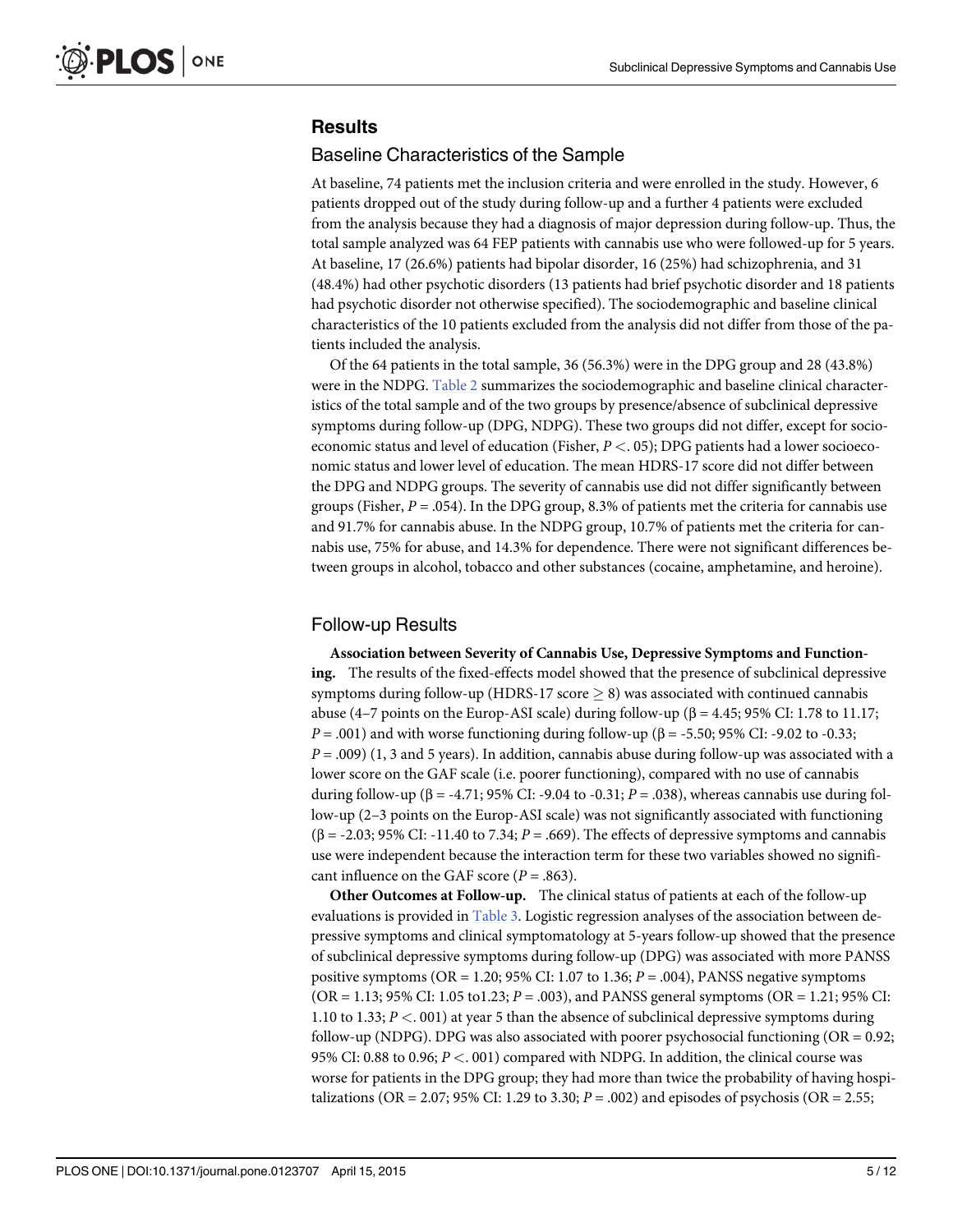## <span id="page-4-0"></span>**Results**

#### Baseline Characteristics of the Sample

At baseline, 74 patients met the inclusion criteria and were enrolled in the study. However, 6 patients dropped out of the study during follow-up and a further 4 patients were excluded from the analysis because they had a diagnosis of major depression during follow-up. Thus, the total sample analyzed was 64 FEP patients with cannabis use who were followed-up for 5 years. At baseline, 17 (26.6%) patients had bipolar disorder, 16 (25%) had schizophrenia, and 31 (48.4%) had other psychotic disorders (13 patients had brief psychotic disorder and 18 patients had psychotic disorder not otherwise specified). The sociodemographic and baseline clinical characteristics of the 10 patients excluded from the analysis did not differ from those of the patients included the analysis.

Of the 64 patients in the total sample, 36 (56.3%) were in the DPG group and 28 (43.8%) were in the NDPG. [Table 2](#page-5-0) summarizes the sociodemographic and baseline clinical characteristics of the total sample and of the two groups by presence/absence of subclinical depressive symptoms during follow-up (DPG, NDPG). These two groups did not differ, except for socioeconomic status and level of education (Fisher,  $P < 0.05$ ); DPG patients had a lower socioeconomic status and lower level of education. The mean HDRS-17 score did not differ between the DPG and NDPG groups. The severity of cannabis use did not differ significantly between groups (Fisher,  $P = .054$ ). In the DPG group, 8.3% of patients met the criteria for cannabis use and 91.7% for cannabis abuse. In the NDPG group, 10.7% of patients met the criteria for cannabis use, 75% for abuse, and 14.3% for dependence. There were not significant differences between groups in alcohol, tobacco and other substances (cocaine, amphetamine, and heroine).

#### Follow-up Results

Association between Severity of Cannabis Use, Depressive Symptoms and Functioning. The results of the fixed-effects model showed that the presence of subclinical depressive symptoms during follow-up (HDRS-17 score  $\geq$  8) was associated with continued cannabis abuse (4–7 points on the Europ-ASI scale) during follow-up ( $β = 4.45$ ; 95% CI: 1.78 to 11.17;  $P = .001$ ) and with worse functioning during follow-up (β = -5.50; 95% CI: -9.02 to -0.33;  $P = .009$ ) (1, 3 and 5 years). In addition, cannabis abuse during follow-up was associated with a lower score on the GAF scale (i.e. poorer functioning), compared with no use of cannabis during follow-up ( $\beta$  = -4.71; 95% CI: -9.04 to -0.31; P = .038), whereas cannabis use during follow-up (2–3 points on the Europ-ASI scale) was not significantly associated with functioning  $(\beta = -2.03; 95\% \text{ CI: } -11.40 \text{ to } 7.34; P = .669)$ . The effects of depressive symptoms and cannabis use were independent because the interaction term for these two variables showed no significant influence on the GAF score ( $P = .863$ ).

Other Outcomes at Follow-up. The clinical status of patients at each of the follow-up evaluations is provided in [Table 3.](#page-6-0) Logistic regression analyses of the association between depressive symptoms and clinical symptomatology at 5-years follow-up showed that the presence of subclinical depressive symptoms during follow-up (DPG) was associated with more PANSS positive symptoms (OR = 1.20; 95% CI: 1.07 to 1.36;  $P = .004$ ), PANSS negative symptoms  $(OR = 1.13; 95\% \text{ CI: } 1.05 \text{ to } 1.23; P = .003)$ , and PANSS general symptoms  $(OR = 1.21; 95\% \text{ CI: } 1.05 \text{ to } 1.23; P = .003)$ 1.10 to 1.33;  $P < 0.01$  at year 5 than the absence of subclinical depressive symptoms during follow-up (NDPG). DPG was also associated with poorer psychosocial functioning ( $OR = 0.92$ ; 95% CI: 0.88 to 0.96;  $P < 0.01$ ) compared with NDPG. In addition, the clinical course was worse for patients in the DPG group; they had more than twice the probability of having hospitalizations (OR = 2.07; 95% CI: 1.29 to 3.30;  $P = .002$ ) and episodes of psychosis (OR = 2.55;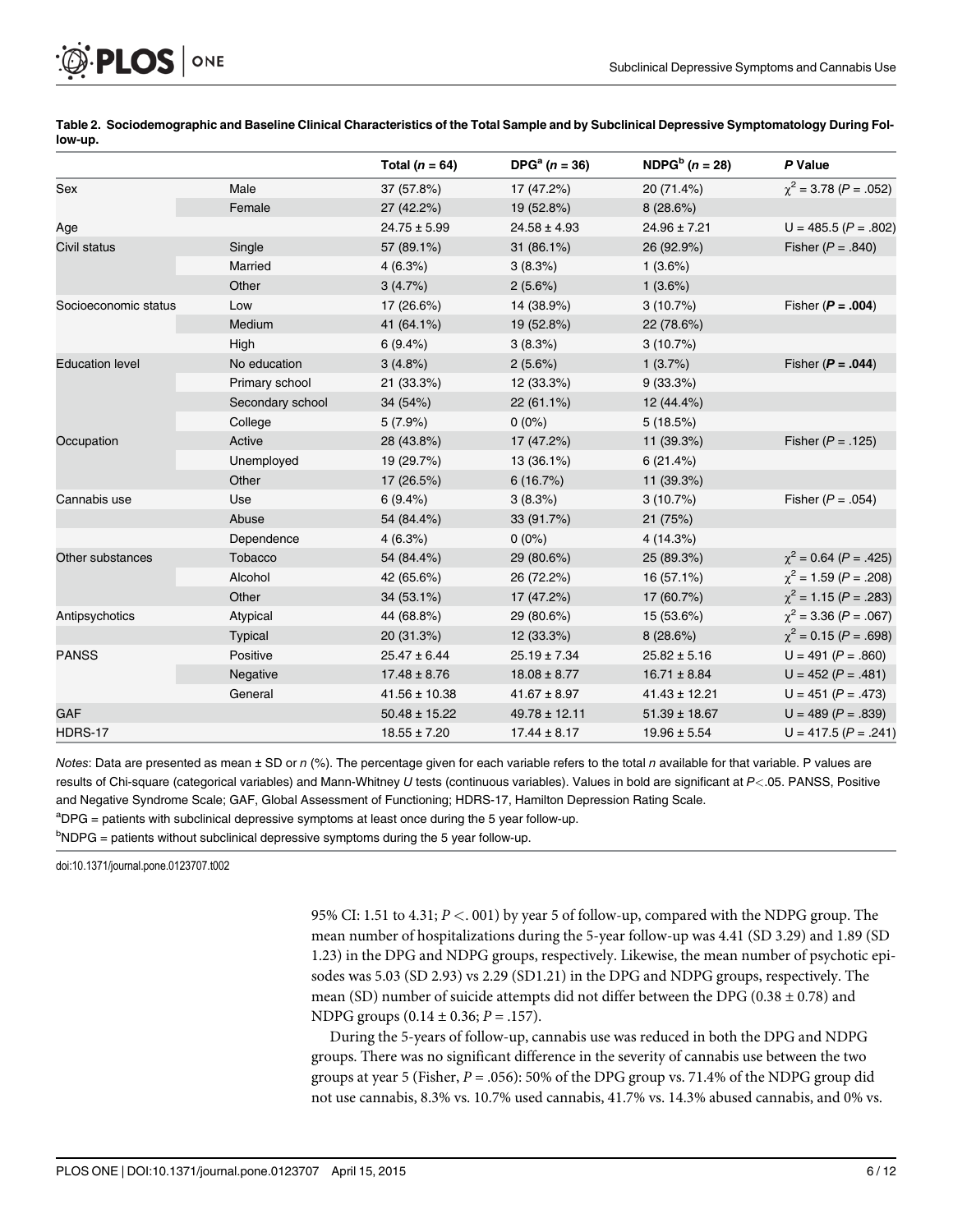<span id="page-5-0"></span>

|                        |                  | Total ( $n = 64$ ) | $DPGa (n = 36)$   | NDPG <sup>b</sup> $(n = 28)$ | P Value                      |
|------------------------|------------------|--------------------|-------------------|------------------------------|------------------------------|
| Sex                    | Male             | 37 (57.8%)         | 17 (47.2%)        | 20 (71.4%)                   | $\chi^2$ = 3.78 (P = .052)   |
|                        | Female           | 27 (42.2%)         | 19 (52.8%)        | 8(28.6%)                     |                              |
| Age                    |                  | $24.75 \pm 5.99$   | $24.58 \pm 4.93$  | $24.96 \pm 7.21$             | $U = 485.5 (P = .802)$       |
| Civil status           | Single           | 57 (89.1%)         | 31 (86.1%)        | 26 (92.9%)                   | Fisher ( $P = .840$ )        |
|                        | Married          | 4(6.3%)            | 3(8.3%)           | 1(3.6%)                      |                              |
|                        | Other            | 3(4.7%)            | 2(5.6%)           | 1(3.6%)                      |                              |
| Socioeconomic status   | Low              | 17 (26.6%)         | 14 (38.9%)        | 3(10.7%)                     | Fisher ( $P = .004$ )        |
|                        | Medium           | 41 (64.1%)         | 19 (52.8%)        | 22 (78.6%)                   |                              |
|                        | High             | 6(9.4%)            | 3(8.3%)           | 3(10.7%)                     |                              |
| <b>Education level</b> | No education     | 3(4.8%)            | $2(5.6\%)$        | 1(3.7%)                      | Fisher ( $P = .044$ )        |
|                        | Primary school   | 21 (33.3%)         | 12 (33.3%)        | 9(33.3%)                     |                              |
|                        | Secondary school | 34 (54%)           | 22 (61.1%)        | 12 (44.4%)                   |                              |
|                        | College          | $5(7.9\%)$         | $0(0\%)$          | 5(18.5%)                     |                              |
| Occupation             | Active           | 28 (43.8%)         | 17 (47.2%)        | 11 (39.3%)                   | Fisher ( $P = .125$ )        |
|                        | Unemployed       | 19 (29.7%)         | 13 (36.1%)        | 6(21.4%)                     |                              |
|                        | Other            | 17 (26.5%)         | 6(16.7%)          | 11 (39.3%)                   |                              |
| Cannabis use           | Use              | 6(9.4%)            | 3(8.3%)           | 3(10.7%)                     | Fisher ( $P = .054$ )        |
|                        | Abuse            | 54 (84.4%)         | 33 (91.7%)        | 21 (75%)                     |                              |
|                        | Dependence       | 4(6.3%)            | $0(0\%)$          | 4 (14.3%)                    |                              |
| Other substances       | Tobacco          | 54 (84.4%)         | 29 (80.6%)        | 25 (89.3%)                   | $\chi^2$ = 0.64 (P = .425)   |
|                        | Alcohol          | 42 (65.6%)         | 26 (72.2%)        | 16 (57.1%)                   | $\gamma^2$ = 1.59 (P = .208) |
|                        | Other            | 34 (53.1%)         | 17 (47.2%)        | 17 (60.7%)                   | $\chi^2$ = 1.15 (P = .283)   |
| Antipsychotics         | Atypical         | 44 (68.8%)         | 29 (80.6%)        | 15 (53.6%)                   | $\chi^2$ = 3.36 (P = .067)   |
|                        | Typical          | 20 (31.3%)         | 12 (33.3%)        | 8 (28.6%)                    | $\chi^2$ = 0.15 (P = .698)   |
| <b>PANSS</b>           | Positive         | $25.47 \pm 6.44$   | $25.19 \pm 7.34$  | $25.82 \pm 5.16$             | $U = 491 (P = .860)$         |
|                        | Negative         | $17.48 \pm 8.76$   | $18.08 \pm 8.77$  | $16.71 \pm 8.84$             | $U = 452 (P = .481)$         |
|                        | General          | $41.56 \pm 10.38$  | $41.67 \pm 8.97$  | $41.43 \pm 12.21$            | $U = 451 (P = .473)$         |
| <b>GAF</b>             |                  | $50.48 \pm 15.22$  | $49.78 \pm 12.11$ | $51.39 \pm 18.67$            | $U = 489 (P = .839)$         |
| HDRS-17                |                  | $18.55 \pm 7.20$   | $17.44 \pm 8.17$  | $19.96 \pm 5.54$             | $U = 417.5 (P = .241)$       |

[Table 2.](#page-4-0) Sociodemographic and Baseline Clinical Characteristics of the Total Sample and by Subclinical Depressive Symptomatology During Follow-up.

Notes: Data are presented as mean  $\pm$  SD or n (%). The percentage given for each variable refers to the total n available for that variable. P values are results of Chi-square (categorical variables) and Mann-Whitney U tests (continuous variables). Values in bold are significant at P<.05. PANSS, Positive and Negative Syndrome Scale; GAF, Global Assessment of Functioning; HDRS-17, Hamilton Depression Rating Scale.

<sup>a</sup>DPG = patients with subclinical depressive symptoms at least once during the 5 year follow-up.

 $b$ NDPG = patients without subclinical depressive symptoms during the 5 year follow-up.

doi:10.1371/journal.pone.0123707.t002

95% CI: 1.51 to 4.31; P <. 001) by year 5 of follow-up, compared with the NDPG group. The mean number of hospitalizations during the 5-year follow-up was 4.41 (SD 3.29) and 1.89 (SD 1.23) in the DPG and NDPG groups, respectively. Likewise, the mean number of psychotic episodes was 5.03 (SD 2.93) vs 2.29 (SD1.21) in the DPG and NDPG groups, respectively. The mean (SD) number of suicide attempts did not differ between the DPG (0.38  $\pm$  0.78) and NDPG groups  $(0.14 \pm 0.36; P = .157)$ .

During the 5-years of follow-up, cannabis use was reduced in both the DPG and NDPG groups. There was no significant difference in the severity of cannabis use between the two groups at year 5 (Fisher,  $P = .056$ ): 50% of the DPG group vs. 71.4% of the NDPG group did not use cannabis, 8.3% vs. 10.7% used cannabis, 41.7% vs. 14.3% abused cannabis, and 0% vs.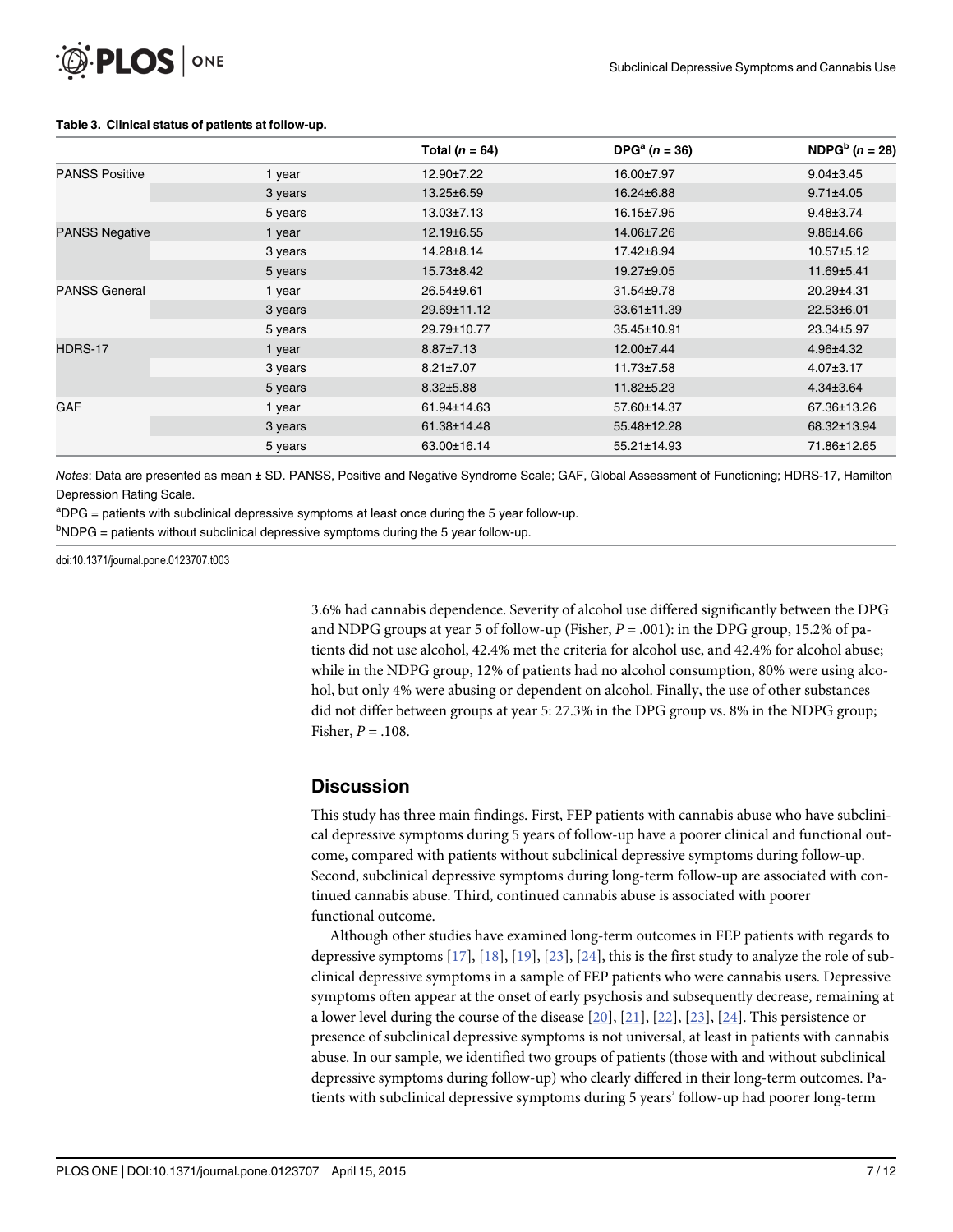|                       |         | Total ( $n = 64$ ) | $DPGa (n = 36)$ | NDPG <sup>b</sup> $(n = 28)$ |
|-----------------------|---------|--------------------|-----------------|------------------------------|
| <b>PANSS Positive</b> | 1 year  | 12.90±7.22         | 16.00±7.97      | $9.04 \pm 3.45$              |
|                       | 3 years | 13.25±6.59         | 16.24±6.88      | $9.71 \pm 4.05$              |
|                       | 5 years | $13.03 \pm 7.13$   | 16.15±7.95      | $9.48 \pm 3.74$              |
| <b>PANSS Negative</b> | 1 year  | 12.19±6.55         | 14.06±7.26      | $9.86{\pm}4.66$              |
|                       | 3 years | 14.28±8.14         | 17.42±8.94      | $10.57 \pm 5.12$             |
|                       | 5 years | 15.73±8.42         | 19.27±9.05      | 11.69±5.41                   |
| <b>PANSS General</b>  | 1 year  | 26.54±9.61         | 31.54±9.78      | 20.29±4.31                   |
|                       | 3 years | 29.69±11.12        | 33.61±11.39     | 22.53±6.01                   |
|                       | 5 years | 29.79±10.77        | 35.45±10.91     | 23.34±5.97                   |
| HDRS-17               | 1 year  | $8.87 \pm 7.13$    | 12.00±7.44      | 4.96±4.32                    |
|                       | 3 years | $8.21 \pm 7.07$    | 11.73±7.58      | $4.07 \pm 3.17$              |
|                       | 5 years | $8.32{\pm}5.88$    | 11.82±5.23      | $4.34\pm3.64$                |
| <b>GAF</b>            | 1 year  | 61.94±14.63        | 57.60±14.37     | 67.36±13.26                  |
|                       | 3 years | 61.38±14.48        | 55.48±12.28     | 68.32±13.94                  |
|                       | 5 years | 63.00±16.14        | 55.21±14.93     | 71.86±12.65                  |

#### <span id="page-6-0"></span>[Table 3.](#page-4-0) Clinical status of patients at follow-up.

Notes: Data are presented as mean ± SD. PANSS, Positive and Negative Syndrome Scale; GAF, Global Assessment of Functioning; HDRS-17, Hamilton Depression Rating Scale.

<sup>a</sup>DPG = patients with subclinical depressive symptoms at least once during the 5 year follow-up.

 $b$ NDPG = patients without subclinical depressive symptoms during the 5 year follow-up.

doi:10.1371/journal.pone.0123707.t003

3.6% had cannabis dependence. Severity of alcohol use differed significantly between the DPG and NDPG groups at year 5 of follow-up (Fisher,  $P = .001$ ): in the DPG group, 15.2% of patients did not use alcohol, 42.4% met the criteria for alcohol use, and 42.4% for alcohol abuse; while in the NDPG group, 12% of patients had no alcohol consumption, 80% were using alcohol, but only 4% were abusing or dependent on alcohol. Finally, the use of other substances did not differ between groups at year 5: 27.3% in the DPG group vs. 8% in the NDPG group; Fisher,  $P = .108$ .

#### **Discussion**

This study has three main findings. First, FEP patients with cannabis abuse who have subclinical depressive symptoms during 5 years of follow-up have a poorer clinical and functional outcome, compared with patients without subclinical depressive symptoms during follow-up. Second, subclinical depressive symptoms during long-term follow-up are associated with continued cannabis abuse. Third, continued cannabis abuse is associated with poorer functional outcome.

Although other studies have examined long-term outcomes in FEP patients with regards to depressive symptoms  $[17]$ ,  $[18]$ ,  $[19]$ ,  $[23]$  $[23]$  $[23]$ ,  $[24]$  $[24]$  $[24]$ , this is the first study to analyze the role of subclinical depressive symptoms in a sample of FEP patients who were cannabis users. Depressive symptoms often appear at the onset of early psychosis and subsequently decrease, remaining at a lower level during the course of the disease [\[20\]](#page-9-0), [[21](#page-9-0)], [[22](#page-9-0)], [[23](#page-9-0)], [\[24](#page-9-0)]. This persistence or presence of subclinical depressive symptoms is not universal, at least in patients with cannabis abuse. In our sample, we identified two groups of patients (those with and without subclinical depressive symptoms during follow-up) who clearly differed in their long-term outcomes. Patients with subclinical depressive symptoms during 5 years' follow-up had poorer long-term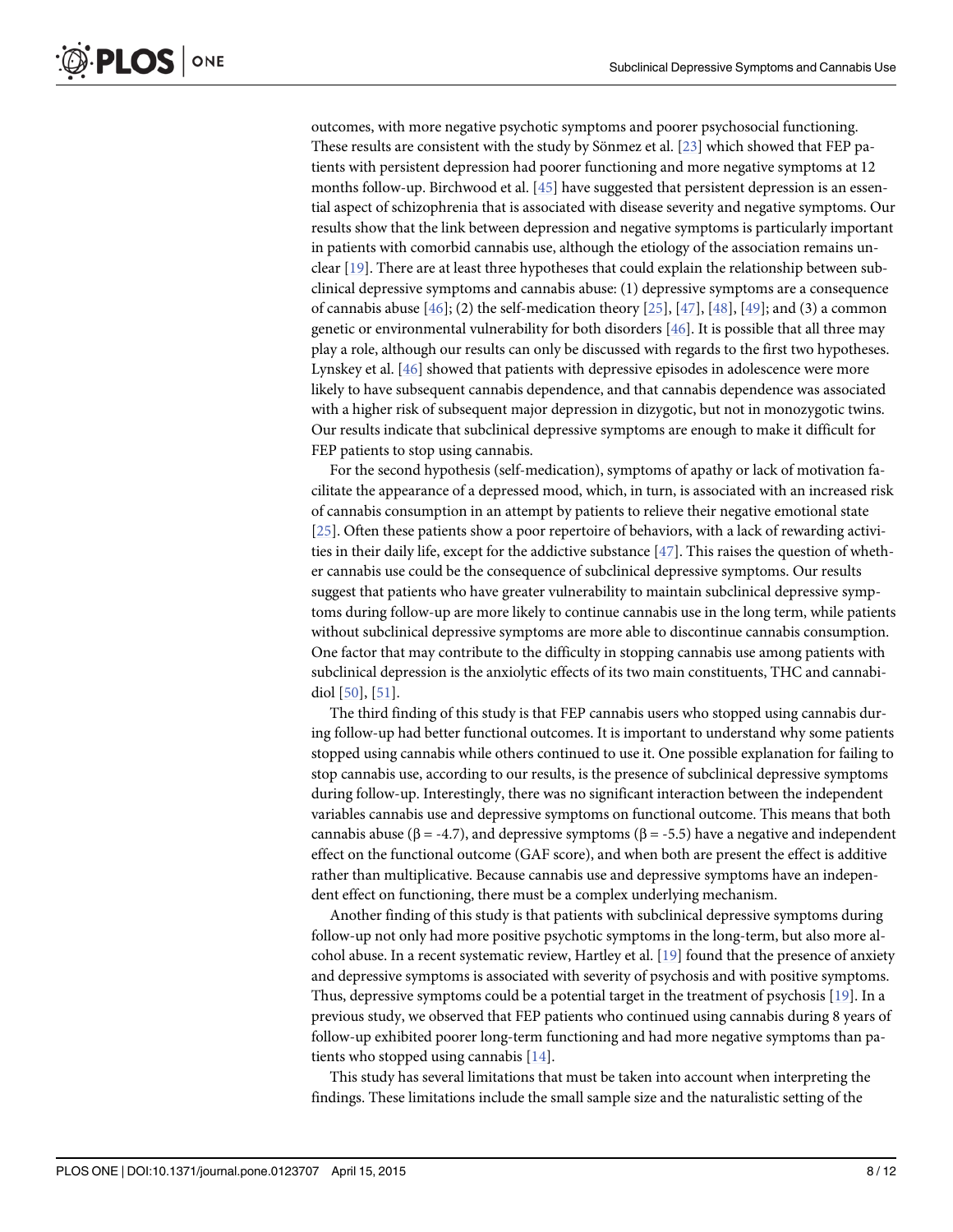<span id="page-7-0"></span>outcomes, with more negative psychotic symptoms and poorer psychosocial functioning. These results are consistent with the study by Sönmez et al. [[23](#page-9-0)] which showed that FEP patients with persistent depression had poorer functioning and more negative symptoms at 12 months follow-up. Birchwood et al. [[45](#page-10-0)] have suggested that persistent depression is an essential aspect of schizophrenia that is associated with disease severity and negative symptoms. Our results show that the link between depression and negative symptoms is particularly important in patients with comorbid cannabis use, although the etiology of the association remains unclear [[19](#page-9-0)]. There are at least three hypotheses that could explain the relationship between subclinical depressive symptoms and cannabis abuse: (1) depressive symptoms are a consequence of cannabis abuse  $[46]$ ; (2) the self-medication theory  $[25]$  $[25]$  $[25]$ ,  $[47]$ ,  $[48]$ ,  $[49]$ ; and (3) a common genetic or environmental vulnerability for both disorders [\[46\]](#page-10-0). It is possible that all three may play a role, although our results can only be discussed with regards to the first two hypotheses. Lynskey et al. [[46\]](#page-10-0) showed that patients with depressive episodes in adolescence were more likely to have subsequent cannabis dependence, and that cannabis dependence was associated with a higher risk of subsequent major depression in dizygotic, but not in monozygotic twins. Our results indicate that subclinical depressive symptoms are enough to make it difficult for FEP patients to stop using cannabis.

For the second hypothesis (self-medication), symptoms of apathy or lack of motivation facilitate the appearance of a depressed mood, which, in turn, is associated with an increased risk of cannabis consumption in an attempt by patients to relieve their negative emotional state [\[25](#page-9-0)]. Often these patients show a poor repertoire of behaviors, with a lack of rewarding activities in their daily life, except for the addictive substance  $[47]$  $[47]$  $[47]$ . This raises the question of whether cannabis use could be the consequence of subclinical depressive symptoms. Our results suggest that patients who have greater vulnerability to maintain subclinical depressive symptoms during follow-up are more likely to continue cannabis use in the long term, while patients without subclinical depressive symptoms are more able to discontinue cannabis consumption. One factor that may contribute to the difficulty in stopping cannabis use among patients with subclinical depression is the anxiolytic effects of its two main constituents, THC and cannabidiol [[50\]](#page-11-0), [[51](#page-11-0)].

The third finding of this study is that FEP cannabis users who stopped using cannabis during follow-up had better functional outcomes. It is important to understand why some patients stopped using cannabis while others continued to use it. One possible explanation for failing to stop cannabis use, according to our results, is the presence of subclinical depressive symptoms during follow-up. Interestingly, there was no significant interaction between the independent variables cannabis use and depressive symptoms on functional outcome. This means that both cannabis abuse ( $\beta$  = -4.7), and depressive symptoms ( $\beta$  = -5.5) have a negative and independent effect on the functional outcome (GAF score), and when both are present the effect is additive rather than multiplicative. Because cannabis use and depressive symptoms have an independent effect on functioning, there must be a complex underlying mechanism.

Another finding of this study is that patients with subclinical depressive symptoms during follow-up not only had more positive psychotic symptoms in the long-term, but also more alcohol abuse. In a recent systematic review, Hartley et al.  $[19]$  $[19]$  $[19]$  found that the presence of anxiety and depressive symptoms is associated with severity of psychosis and with positive symptoms. Thus, depressive symptoms could be a potential target in the treatment of psychosis [\[19\]](#page-9-0). In a previous study, we observed that FEP patients who continued using cannabis during 8 years of follow-up exhibited poorer long-term functioning and had more negative symptoms than patients who stopped using cannabis  $[14]$  $[14]$ .

This study has several limitations that must be taken into account when interpreting the findings. These limitations include the small sample size and the naturalistic setting of the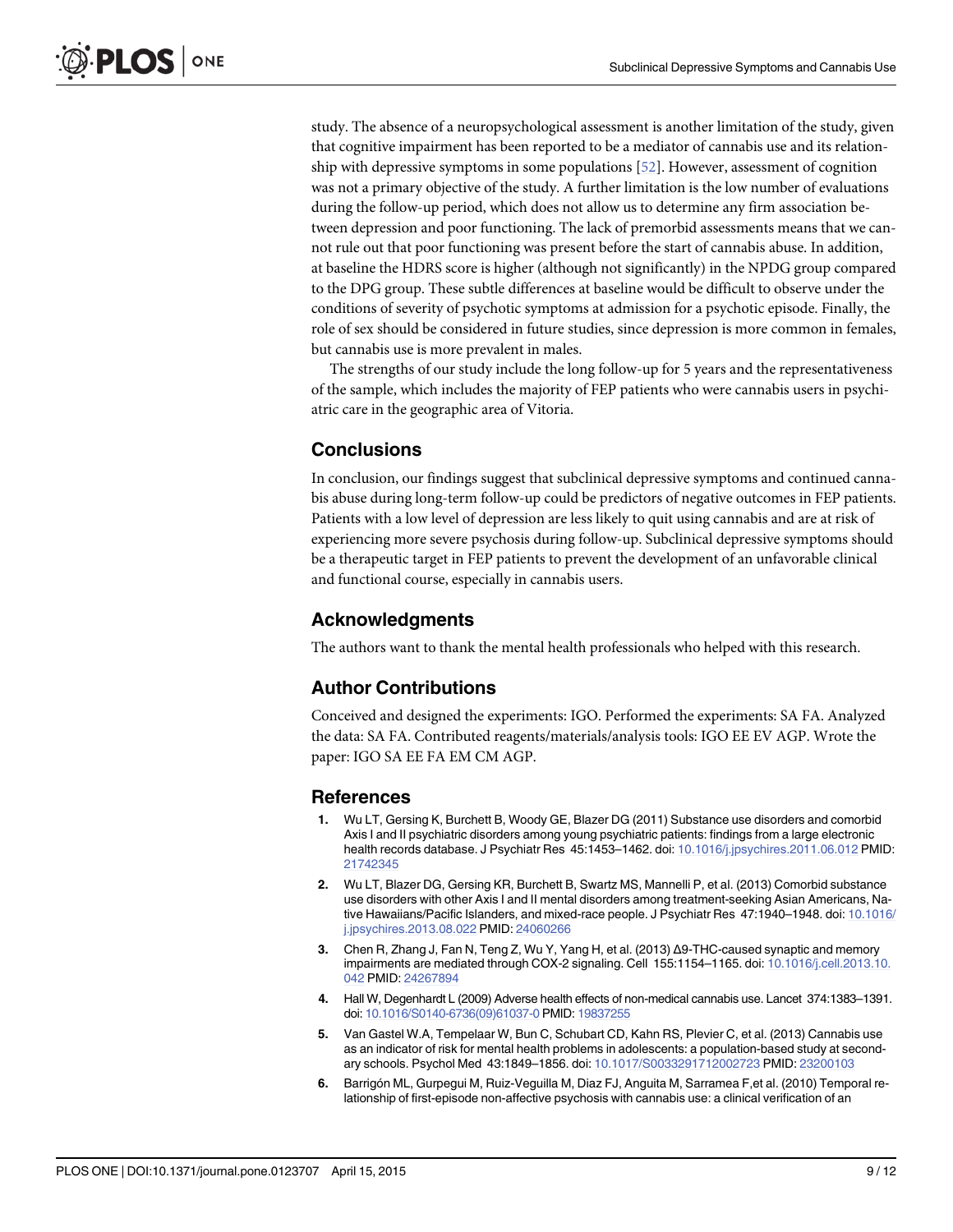<span id="page-8-0"></span>study. The absence of a neuropsychological assessment is another limitation of the study, given that cognitive impairment has been reported to be a mediator of cannabis use and its relationship with depressive symptoms in some populations [\[52\]](#page-11-0). However, assessment of cognition was not a primary objective of the study. A further limitation is the low number of evaluations during the follow-up period, which does not allow us to determine any firm association between depression and poor functioning. The lack of premorbid assessments means that we cannot rule out that poor functioning was present before the start of cannabis abuse. In addition, at baseline the HDRS score is higher (although not significantly) in the NPDG group compared to the DPG group. These subtle differences at baseline would be difficult to observe under the conditions of severity of psychotic symptoms at admission for a psychotic episode. Finally, the role of sex should be considered in future studies, since depression is more common in females, but cannabis use is more prevalent in males.

The strengths of our study include the long follow-up for 5 years and the representativeness of the sample, which includes the majority of FEP patients who were cannabis users in psychiatric care in the geographic area of Vitoria.

### **Conclusions**

In conclusion, our findings suggest that subclinical depressive symptoms and continued cannabis abuse during long-term follow-up could be predictors of negative outcomes in FEP patients. Patients with a low level of depression are less likely to quit using cannabis and are at risk of experiencing more severe psychosis during follow-up. Subclinical depressive symptoms should be a therapeutic target in FEP patients to prevent the development of an unfavorable clinical and functional course, especially in cannabis users.

#### Acknowledgments

The authors want to thank the mental health professionals who helped with this research.

#### Author Contributions

Conceived and designed the experiments: IGO. Performed the experiments: SA FA. Analyzed the data: SA FA. Contributed reagents/materials/analysis tools: IGO EE EV AGP. Wrote the paper: IGO SA EE FA EM CM AGP.

#### **References**

- [1.](#page-1-0) Wu LT, Gersing K, Burchett B, Woody GE, Blazer DG (2011) Substance use disorders and comorbid Axis I and II psychiatric disorders among young psychiatric patients: findings from a large electronic health records database. J Psychiatr Res 45:1453-1462. doi: [10.1016/j.jpsychires.2011.06.012](http://dx.doi.org/10.1016/j.jpsychires.2011.06.012) PMID: [21742345](http://www.ncbi.nlm.nih.gov/pubmed/21742345)
- [2.](#page-1-0) Wu LT, Blazer DG, Gersing KR, Burchett B, Swartz MS, Mannelli P, et al. (2013) Comorbid substance use disorders with other Axis I and II mental disorders among treatment-seeking Asian Americans, Native Hawaiians/Pacific Islanders, and mixed-race people. J Psychiatr Res 47:1940–1948. doi: [10.1016/](http://dx.doi.org/10.1016/j.jpsychires.2013.08.022) [j.jpsychires.2013.08.022](http://dx.doi.org/10.1016/j.jpsychires.2013.08.022) PMID: [24060266](http://www.ncbi.nlm.nih.gov/pubmed/24060266)
- [3.](#page-1-0) Chen R, Zhang J, Fan N, Teng Z, Wu Y, Yang H, et al. (2013) Δ9-THC-caused synaptic and memory impairments are mediated through COX-2 signaling. Cell 155:1154–1165. doi: [10.1016/j.cell.2013.10.](http://dx.doi.org/10.1016/j.cell.2013.10.042) [042](http://dx.doi.org/10.1016/j.cell.2013.10.042) PMID: [24267894](http://www.ncbi.nlm.nih.gov/pubmed/24267894)
- [4.](#page-1-0) Hall W, Degenhardt L (2009) Adverse health effects of non-medical cannabis use. Lancet 374:1383–1391. doi: [10.1016/S0140-6736\(09\)61037-0](http://dx.doi.org/10.1016/S0140-6736(09)61037-0) PMID: [19837255](http://www.ncbi.nlm.nih.gov/pubmed/19837255)
- [5.](#page-1-0) Van Gastel W.A, Tempelaar W, Bun C, Schubart CD, Kahn RS, Plevier C, et al. (2013) Cannabis use as an indicator of risk for mental health problems in adolescents: a population-based study at secondary schools. Psychol Med 43:1849–1856. doi: [10.1017/S0033291712002723](http://dx.doi.org/10.1017/S0033291712002723) PMID: [23200103](http://www.ncbi.nlm.nih.gov/pubmed/23200103)
- [6.](#page-1-0) Barrigón ML, Gurpegui M, Ruiz-Veguilla M, Diaz FJ, Anguita M, Sarramea F,et al. (2010) Temporal relationship of first-episode non-affective psychosis with cannabis use: a clinical verification of an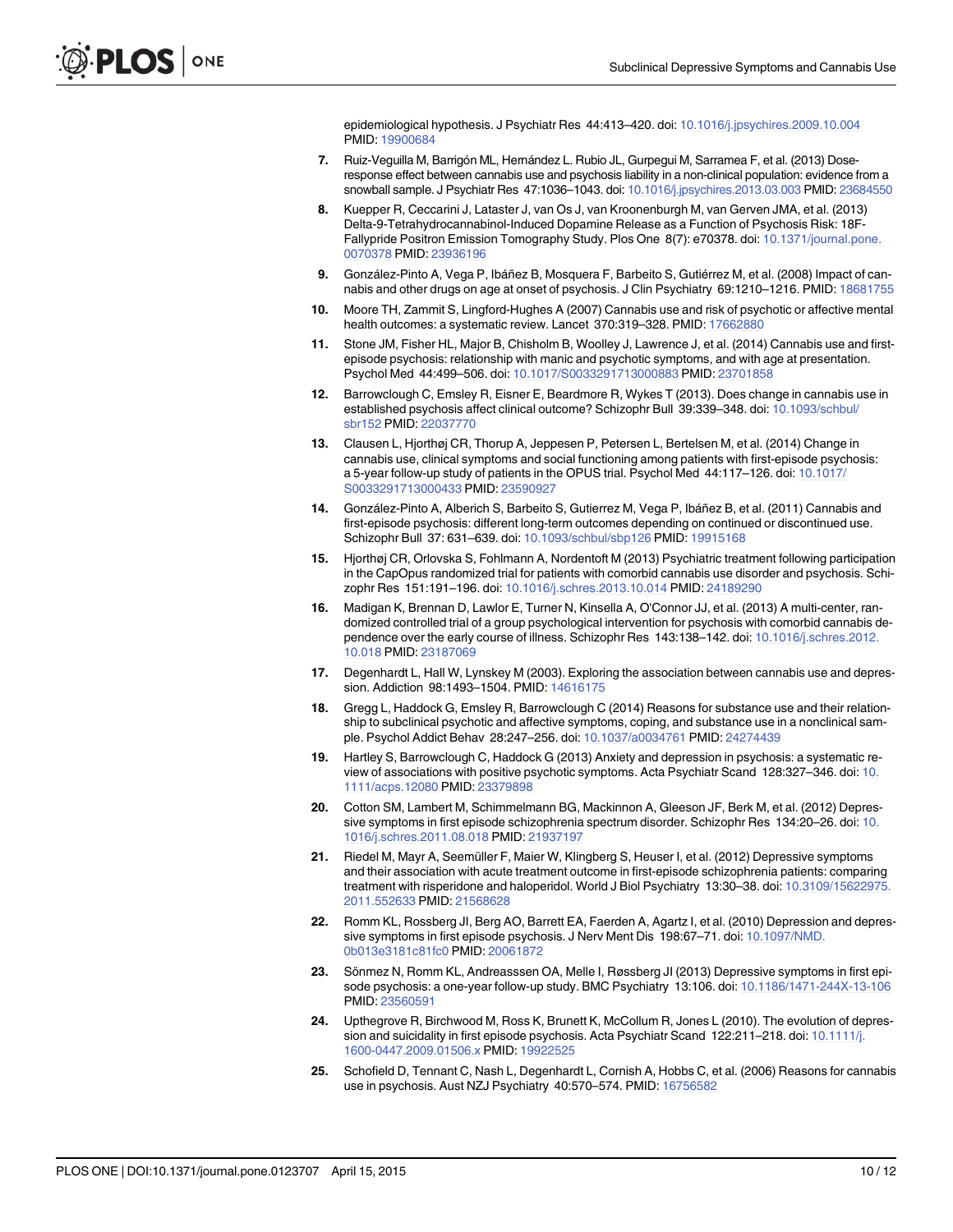epidemiological hypothesis. J Psychiatr Res 44:413–420. doi: [10.1016/j.jpsychires.2009.10.004](http://dx.doi.org/10.1016/j.jpsychires.2009.10.004) PMID: [19900684](http://www.ncbi.nlm.nih.gov/pubmed/19900684)

- <span id="page-9-0"></span>[7.](#page-1-0) Ruiz-Veguilla M, Barrigón ML, Hernández L. Rubio JL, Gurpegui M, Sarramea F, et al. (2013) Doseresponse effect between cannabis use and psychosis liability in a non-clinical population: evidence from a snowball sample. J Psychiatr Res 47:1036–1043. doi: [10.1016/j.jpsychires.2013.03.003](http://dx.doi.org/10.1016/j.jpsychires.2013.03.003) PMID: [23684550](http://www.ncbi.nlm.nih.gov/pubmed/23684550)
- [8.](#page-1-0) Kuepper R, Ceccarini J, Lataster J, van Os J, van Kroonenburgh M, van Gerven JMA, et al. (2013) Delta-9-Tetrahydrocannabinol-Induced Dopamine Release as a Function of Psychosis Risk: 18F-Fallypride Positron Emission Tomography Study. Plos One 8(7): e70378. doi: [10.1371/journal.pone.](http://dx.doi.org/10.1371/journal.pone.0070378) [0070378](http://dx.doi.org/10.1371/journal.pone.0070378) PMID: [23936196](http://www.ncbi.nlm.nih.gov/pubmed/23936196)
- [9.](#page-1-0) González-Pinto A, Vega P, Ibáñez B, Mosquera F, Barbeito S, Gutiérrez M, et al. (2008) Impact of can-nabis and other drugs on age at onset of psychosis. J Clin Psychiatry 69:1210-1216. PMID: [18681755](http://www.ncbi.nlm.nih.gov/pubmed/18681755)
- [10.](#page-1-0) Moore TH, Zammit S, Lingford-Hughes A (2007) Cannabis use and risk of psychotic or affective mental health outcomes: a systematic review. Lancet 370:319–328. PMID: [17662880](http://www.ncbi.nlm.nih.gov/pubmed/17662880)
- [11.](#page-1-0) Stone JM, Fisher HL, Major B, Chisholm B, Woolley J, Lawrence J, et al. (2014) Cannabis use and firstepisode psychosis: relationship with manic and psychotic symptoms, and with age at presentation. Psychol Med 44:499–506. doi: [10.1017/S0033291713000883](http://dx.doi.org/10.1017/S0033291713000883) PMID: [23701858](http://www.ncbi.nlm.nih.gov/pubmed/23701858)
- [12.](#page-1-0) Barrowclough C, Emsley R, Eisner E, Beardmore R, Wykes T (2013). Does change in cannabis use in established psychosis affect clinical outcome? Schizophr Bull 39:339–348. doi: [10.1093/schbul/](http://dx.doi.org/10.1093/schbul/sbr152) [sbr152](http://dx.doi.org/10.1093/schbul/sbr152) PMID: [22037770](http://www.ncbi.nlm.nih.gov/pubmed/22037770)
- [13.](#page-1-0) Clausen L, Hjorthøj CR, Thorup A, Jeppesen P, Petersen L, Bertelsen M, et al. (2014) Change in cannabis use, clinical symptoms and social functioning among patients with first-episode psychosis: a 5-year follow-up study of patients in the OPUS trial. Psychol Med 44:117–126. doi: [10.1017/](http://dx.doi.org/10.1017/S0033291713000433) [S0033291713000433](http://dx.doi.org/10.1017/S0033291713000433) PMID: [23590927](http://www.ncbi.nlm.nih.gov/pubmed/23590927)
- [14.](#page-1-0) González-Pinto A, Alberich S, Barbeito S, Gutierrez M, Vega P, Ibáñez B, et al. (2011) Cannabis and first-episode psychosis: different long-term outcomes depending on continued or discontinued use. Schizophr Bull 37: 631–639. doi: [10.1093/schbul/sbp126](http://dx.doi.org/10.1093/schbul/sbp126) PMID: [19915168](http://www.ncbi.nlm.nih.gov/pubmed/19915168)
- [15.](#page-1-0) Hjorthøj CR, Orlovska S, Fohlmann A, Nordentoft M (2013) Psychiatric treatment following participation in the CapOpus randomized trial for patients with comorbid cannabis use disorder and psychosis. Schizophr Res 151:191–196. doi: [10.1016/j.schres.2013.10.014](http://dx.doi.org/10.1016/j.schres.2013.10.014) PMID: [24189290](http://www.ncbi.nlm.nih.gov/pubmed/24189290)
- [16.](#page-1-0) Madigan K, Brennan D, Lawlor E, Turner N, Kinsella A, O'Connor JJ, et al. (2013) A multi-center, randomized controlled trial of a group psychological intervention for psychosis with comorbid cannabis dependence over the early course of illness. Schizophr Res 143:138–142. doi: [10.1016/j.schres.2012.](http://dx.doi.org/10.1016/j.schres.2012.10.018) [10.018](http://dx.doi.org/10.1016/j.schres.2012.10.018) PMID: [23187069](http://www.ncbi.nlm.nih.gov/pubmed/23187069)
- [17.](#page-1-0) Degenhardt L, Hall W, Lynskey M (2003). Exploring the association between cannabis use and depression. Addiction 98:1493–1504. PMID: [14616175](http://www.ncbi.nlm.nih.gov/pubmed/14616175)
- [18.](#page-1-0) Gregg L, Haddock G, Emsley R, Barrowclough C (2014) Reasons for substance use and their relationship to subclinical psychotic and affective symptoms, coping, and substance use in a nonclinical sam-ple. Psychol Addict Behav 28:247-256. doi: [10.1037/a0034761](http://dx.doi.org/10.1037/a0034761) PMID: [24274439](http://www.ncbi.nlm.nih.gov/pubmed/24274439)
- [19.](#page-1-0) Hartley S, Barrowclough C, Haddock G (2013) Anxiety and depression in psychosis: a systematic review of associations with positive psychotic symptoms. Acta Psychiatr Scand 128:327–346. doi: [10.](http://dx.doi.org/10.1111/acps.12080) [1111/acps.12080](http://dx.doi.org/10.1111/acps.12080) PMID: [23379898](http://www.ncbi.nlm.nih.gov/pubmed/23379898)
- [20.](#page-1-0) Cotton SM, Lambert M, Schimmelmann BG, Mackinnon A, Gleeson JF, Berk M, et al. (2012) Depressive symptoms in first episode schizophrenia spectrum disorder. Schizophr Res 134:20–26. doi: [10.](http://dx.doi.org/10.1016/j.schres.2011.08.018) [1016/j.schres.2011.08.018](http://dx.doi.org/10.1016/j.schres.2011.08.018) PMID: [21937197](http://www.ncbi.nlm.nih.gov/pubmed/21937197)
- [21.](#page-1-0) Riedel M, Mayr A, Seemüller F, Maier W, Klingberg S, Heuser I, et al. (2012) Depressive symptoms and their association with acute treatment outcome in first-episode schizophrenia patients: comparing treatment with risperidone and haloperidol. World J Biol Psychiatry 13:30–38. doi: [10.3109/15622975.](http://dx.doi.org/10.3109/15622975.2011.552633) [2011.552633](http://dx.doi.org/10.3109/15622975.2011.552633) PMID: [21568628](http://www.ncbi.nlm.nih.gov/pubmed/21568628)
- [22.](#page-1-0) Romm KL, Rossberg JI, Berg AO, Barrett EA, Faerden A, Agartz I, et al. (2010) Depression and depressive symptoms in first episode psychosis. J Nerv Ment Dis 198:67–71. doi: [10.1097/NMD.](http://dx.doi.org/10.1097/NMD.0b013e3181c81fc0) [0b013e3181c81fc0](http://dx.doi.org/10.1097/NMD.0b013e3181c81fc0) PMID: [20061872](http://www.ncbi.nlm.nih.gov/pubmed/20061872)
- [23.](#page-1-0) Sönmez N, Romm KL, Andreasssen OA, Melle I, Røssberg JI (2013) Depressive symptoms in first episode psychosis: a one-year follow-up study. BMC Psychiatry 13:106. doi: [10.1186/1471-244X-13-106](http://dx.doi.org/10.1186/1471-244X-13-106) PMID: [23560591](http://www.ncbi.nlm.nih.gov/pubmed/23560591)
- [24.](#page-1-0) Upthegrove R, Birchwood M, Ross K, Brunett K, McCollum R, Jones L (2010). The evolution of depres-sion and suicidality in first episode psychosis. Acta Psychiatr Scand 122:211–218. doi: [10.1111/j.](http://dx.doi.org/10.1111/j.1600-0447.2009.01506.x) [1600-0447.2009.01506.x](http://dx.doi.org/10.1111/j.1600-0447.2009.01506.x) PMID: [19922525](http://www.ncbi.nlm.nih.gov/pubmed/19922525)
- [25.](#page-1-0) Schofield D, Tennant C, Nash L, Degenhardt L, Cornish A, Hobbs C, et al. (2006) Reasons for cannabis use in psychosis. Aust NZJ Psychiatry 40:570–574. PMID: [16756582](http://www.ncbi.nlm.nih.gov/pubmed/16756582)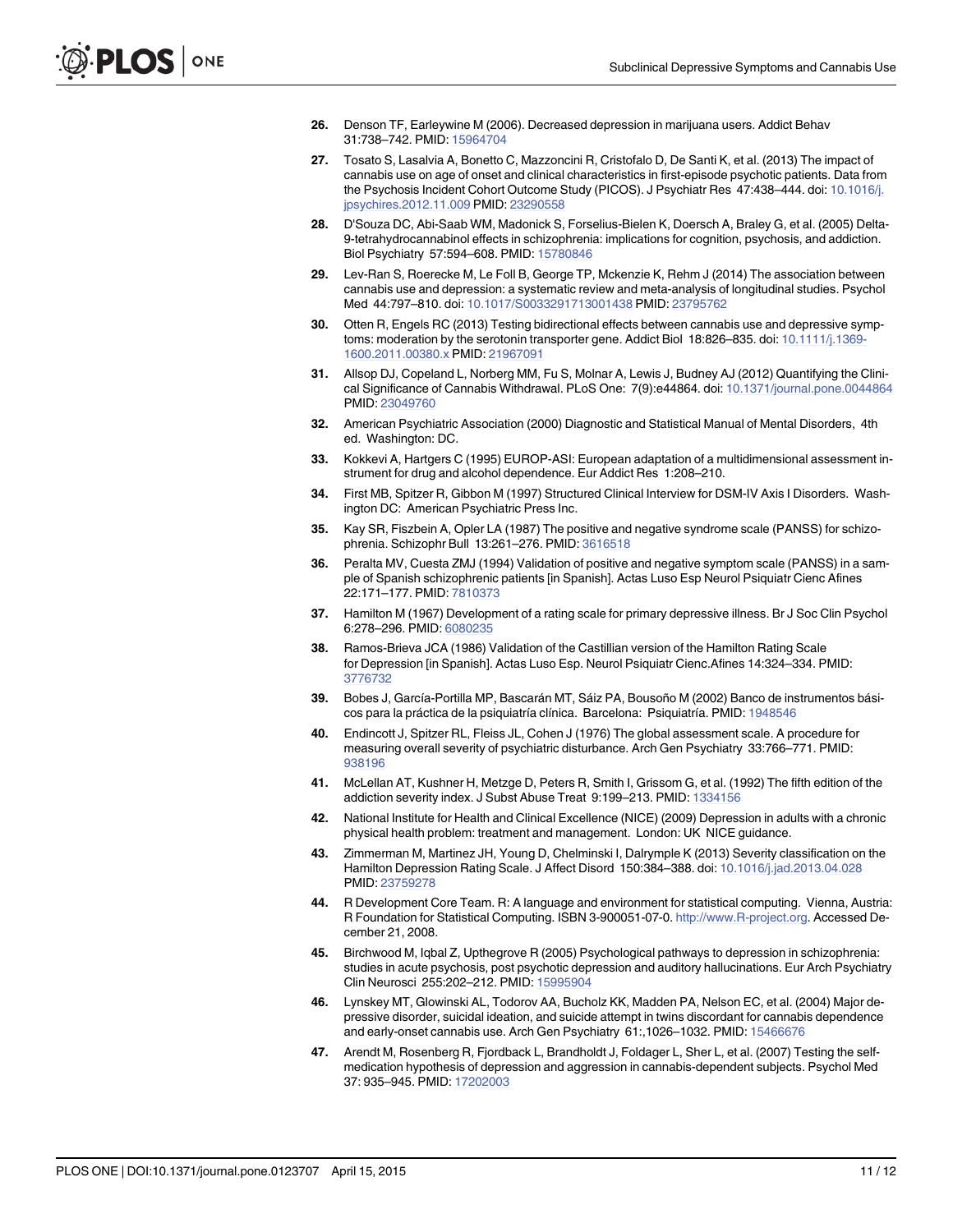- <span id="page-10-0"></span>[26.](#page-1-0) Denson TF, Earleywine M (2006). Decreased depression in marijuana users. Addict Behav 31:738–742. PMID: [15964704](http://www.ncbi.nlm.nih.gov/pubmed/15964704)
- [27.](#page-1-0) Tosato S, Lasalvia A, Bonetto C, Mazzoncini R, Cristofalo D, De Santi K, et al. (2013) The impact of cannabis use on age of onset and clinical characteristics in first-episode psychotic patients. Data from the Psychosis Incident Cohort Outcome Study (PICOS). J Psychiatr Res 47:438-444. doi: [10.1016/j.](http://dx.doi.org/10.1016/j.jpsychires.2012.11.009) [jpsychires.2012.11.009](http://dx.doi.org/10.1016/j.jpsychires.2012.11.009) PMID: [23290558](http://www.ncbi.nlm.nih.gov/pubmed/23290558)
- [28.](#page-1-0) D'Souza DC, Abi-Saab WM, Madonick S, Forselius-Bielen K, Doersch A, Braley G, et al. (2005) Delta-9-tetrahydrocannabinol effects in schizophrenia: implications for cognition, psychosis, and addiction. Biol Psychiatry 57:594–608. PMID: [15780846](http://www.ncbi.nlm.nih.gov/pubmed/15780846)
- [29.](#page-1-0) Lev-Ran S, Roerecke M, Le Foll B, George TP, Mckenzie K, Rehm J (2014) The association between cannabis use and depression: a systematic review and meta-analysis of longitudinal studies. Psychol Med 44:797–810. doi: [10.1017/S0033291713001438](http://dx.doi.org/10.1017/S0033291713001438) PMID: [23795762](http://www.ncbi.nlm.nih.gov/pubmed/23795762)
- [30.](#page-1-0) Otten R, Engels RC (2013) Testing bidirectional effects between cannabis use and depressive symp-toms: moderation by the serotonin transporter gene. Addict Biol 18:826-835. doi: [10.1111/j.1369-](http://dx.doi.org/10.1111/j.1369-1600.2011.00380.x) [1600.2011.00380.x](http://dx.doi.org/10.1111/j.1369-1600.2011.00380.x) PMID: [21967091](http://www.ncbi.nlm.nih.gov/pubmed/21967091)
- [31.](#page-1-0) Allsop DJ, Copeland L, Norberg MM, Fu S, Molnar A, Lewis J, Budney AJ (2012) Quantifying the Clinical Significance of Cannabis Withdrawal. PLoS One: 7(9):e44864. doi: [10.1371/journal.pone.0044864](http://dx.doi.org/10.1371/journal.pone.0044864) PMID: [23049760](http://www.ncbi.nlm.nih.gov/pubmed/23049760)
- [32.](#page-2-0) American Psychiatric Association (2000) Diagnostic and Statistical Manual of Mental Disorders, 4th ed. Washington: DC.
- [33.](#page-2-0) Kokkevi A, Hartgers C (1995) EUROP-ASI: European adaptation of a multidimensional assessment instrument for drug and alcohol dependence. Eur Addict Res 1:208–210.
- [34.](#page-3-0) First MB, Spitzer R, Gibbon M (1997) Structured Clinical Interview for DSM-IV Axis I Disorders. Washington DC: American Psychiatric Press Inc.
- [35.](#page-3-0) Kay SR, Fiszbein A, Opler LA (1987) The positive and negative syndrome scale (PANSS) for schizophrenia. Schizophr Bull 13:261–276. PMID: [3616518](http://www.ncbi.nlm.nih.gov/pubmed/3616518)
- [36.](#page-3-0) Peralta MV, Cuesta ZMJ (1994) Validation of positive and negative symptom scale (PANSS) in a sample of Spanish schizophrenic patients [in Spanish]. Actas Luso Esp Neurol Psiquiatr Cienc Afines 22:171–177. PMID: [7810373](http://www.ncbi.nlm.nih.gov/pubmed/7810373)
- [37.](#page-3-0) Hamilton M (1967) Development of a rating scale for primary depressive illness. Br J Soc Clin Psychol 6:278–296. PMID: [6080235](http://www.ncbi.nlm.nih.gov/pubmed/6080235)
- [38.](#page-3-0) Ramos-Brieva JCA (1986) Validation of the Castillian version of the Hamilton Rating Scale for Depression [in Spanish]. Actas Luso Esp. Neurol Psiquiatr Cienc.Afines 14:324–334. PMID: [3776732](http://www.ncbi.nlm.nih.gov/pubmed/3776732)
- [39.](#page-3-0) Bobes J, García-Portilla MP, Bascarán MT, Sáiz PA, Bousoño M (2002) Banco de instrumentos básicos para la práctica de la psiquiatría clínica. Barcelona: Psiquiatría. PMID: [1948546](http://www.ncbi.nlm.nih.gov/pubmed/1948546)
- [40.](#page-3-0) Endincott J, Spitzer RL, Fleiss JL, Cohen J (1976) The global assessment scale. A procedure for measuring overall severity of psychiatric disturbance. Arch Gen Psychiatry 33:766–771. PMID: [938196](http://www.ncbi.nlm.nih.gov/pubmed/938196)
- [41.](#page-3-0) McLellan AT, Kushner H, Metzge D, Peters R, Smith I, Grissom G, et al. (1992) The fifth edition of the addiction severity index. J Subst Abuse Treat 9:199–213. PMID: [1334156](http://www.ncbi.nlm.nih.gov/pubmed/1334156)
- [42.](#page-3-0) National Institute for Health and Clinical Excellence (NICE) (2009) Depression in adults with a chronic physical health problem: treatment and management. London: UK NICE guidance.
- [43.](#page-3-0) Zimmerman M, Martinez JH, Young D, Chelminski I, Dalrymple K (2013) Severity classification on the Hamilton Depression Rating Scale. J Affect Disord 150:384-388. doi: [10.1016/j.jad.2013.04.028](http://dx.doi.org/10.1016/j.jad.2013.04.028) PMID: [23759278](http://www.ncbi.nlm.nih.gov/pubmed/23759278)
- [44.](#page-3-0) R Development Core Team. R: A language and environment for statistical computing. Vienna, Austria: R Foundation for Statistical Computing. ISBN 3-900051-07-0. [http://www.R-project.org.](http://www.R-project.org) Accessed December 21, 2008.
- [45.](#page-7-0) Birchwood M, Iqbal Z, Upthegrove R (2005) Psychological pathways to depression in schizophrenia: studies in acute psychosis, post psychotic depression and auditory hallucinations. Eur Arch Psychiatry Clin Neurosci 255:202–212. PMID: [15995904](http://www.ncbi.nlm.nih.gov/pubmed/15995904)
- [46.](#page-7-0) Lynskey MT, Glowinski AL, Todorov AA, Bucholz KK, Madden PA, Nelson EC, et al. (2004) Major depressive disorder, suicidal ideation, and suicide attempt in twins discordant for cannabis dependence and early-onset cannabis use. Arch Gen Psychiatry 61:,1026–1032. PMID: [15466676](http://www.ncbi.nlm.nih.gov/pubmed/15466676)
- [47.](#page-7-0) Arendt M, Rosenberg R, Fjordback L, Brandholdt J, Foldager L, Sher L, et al. (2007) Testing the selfmedication hypothesis of depression and aggression in cannabis-dependent subjects. Psychol Med 37: 935–945. PMID: [17202003](http://www.ncbi.nlm.nih.gov/pubmed/17202003)